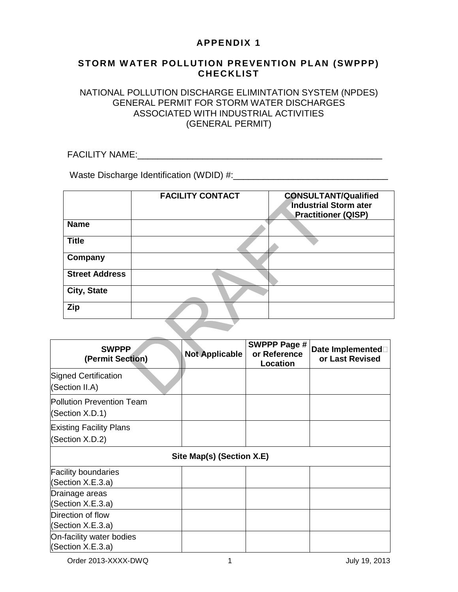# **APPENDIX 1**

#### **STORM WATER POLLUTION PREVENTION PLAN (SWPPP) CHECKLIST**

#### NATIONAL POLLUTION DISCHARGE ELIMINTATION SYSTEM (NPDES) GENERAL PERMIT FOR STORM WATER DISCHARGES ASSOCIATED WITH INDUSTRIAL ACTIVITIES (GENERAL PERMIT)

FACILITY NAME: UNITALITY ASSETS A SERVER AND THE SERVER AND THE SERVER AND THE SERVER AND THE SERVER AND THE SERVER AND THE SERVER AND THE SERVER AND THE SERVER AND THE SERVER AND THE SERVER AND THE SERVER AND THE SERVER A

Waste Discharge Identification (WDID) #:\_\_\_\_\_\_\_\_\_\_\_\_\_\_\_\_\_\_\_\_\_\_\_\_\_\_\_\_\_\_\_

|                                    |  | <b>FACILITY CONTACT</b> |  |                                                 | <b>CONSULTANT/Qualified</b><br><b>Industrial Storm ater</b><br><b>Practitioner (QISP)</b> |
|------------------------------------|--|-------------------------|--|-------------------------------------------------|-------------------------------------------------------------------------------------------|
| <b>Name</b>                        |  |                         |  |                                                 |                                                                                           |
| <b>Title</b>                       |  |                         |  |                                                 |                                                                                           |
| Company                            |  |                         |  |                                                 |                                                                                           |
| <b>Street Address</b>              |  |                         |  |                                                 |                                                                                           |
| City, State                        |  |                         |  |                                                 |                                                                                           |
| Zip                                |  |                         |  |                                                 |                                                                                           |
|                                    |  |                         |  |                                                 |                                                                                           |
| <b>SWPPP</b><br>(Permit Section)   |  | <b>Not Applicable</b>   |  | <b>SWPPP Page #</b><br>or Reference<br>Location | Date Implemented <sup>[1]</sup><br>or Last Revised                                        |
| Ined Certification<br>ection II.A) |  |                         |  |                                                 |                                                                                           |

| <b>SWPPP</b><br>(Permit Section) | <b>Not Applicable</b> | SWPPP Page #<br>or Reference<br>Location | Date Implemented<br>or Last Revised |  |
|----------------------------------|-----------------------|------------------------------------------|-------------------------------------|--|
| <b>Signed Certification</b>      |                       |                                          |                                     |  |
| (Section II.A)                   |                       |                                          |                                     |  |
| <b>Pollution Prevention Team</b> |                       |                                          |                                     |  |
| (Section X.D.1)                  |                       |                                          |                                     |  |
| <b>Existing Facility Plans</b>   |                       |                                          |                                     |  |
| (Section X.D.2)                  |                       |                                          |                                     |  |
| Site Map(s) (Section X.E)        |                       |                                          |                                     |  |
| <b>Facility boundaries</b>       |                       |                                          |                                     |  |
| (Section X.E.3.a)                |                       |                                          |                                     |  |
| Drainage areas                   |                       |                                          |                                     |  |
| (Section X.E.3.a)                |                       |                                          |                                     |  |
| Direction of flow                |                       |                                          |                                     |  |
| (Section X.E.3.a)                |                       |                                          |                                     |  |
| On-facility water bodies         |                       |                                          |                                     |  |
| (Section X.E.3.a)                |                       |                                          |                                     |  |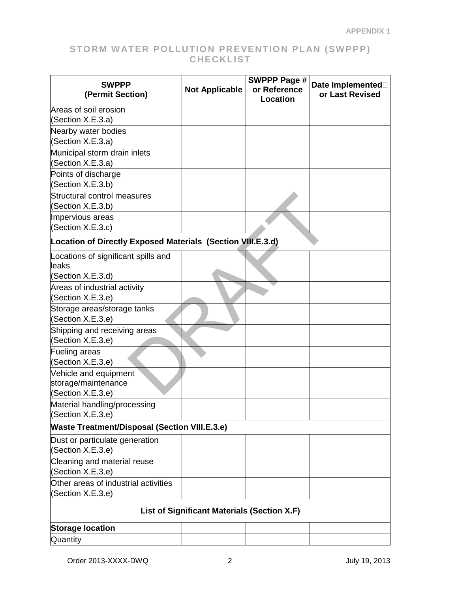|                                                             |                       | <b>SWPPP Page #</b> |                                     |  |
|-------------------------------------------------------------|-----------------------|---------------------|-------------------------------------|--|
| <b>SWPPP</b><br>(Permit Section)                            | <b>Not Applicable</b> | or Reference        | Date Implemented<br>or Last Revised |  |
|                                                             |                       | Location            |                                     |  |
| Areas of soil erosion                                       |                       |                     |                                     |  |
| (Section X.E.3.a)                                           |                       |                     |                                     |  |
| Nearby water bodies                                         |                       |                     |                                     |  |
| (Section X.E.3.a)                                           |                       |                     |                                     |  |
| Municipal storm drain inlets                                |                       |                     |                                     |  |
| (Section X.E.3.a)                                           |                       |                     |                                     |  |
| Points of discharge                                         |                       |                     |                                     |  |
| (Section X.E.3.b)                                           |                       |                     |                                     |  |
| Structural control measures<br>(Section X.E.3.b)            |                       |                     |                                     |  |
| Impervious areas                                            |                       |                     |                                     |  |
| (Section X.E.3.c)                                           |                       |                     |                                     |  |
| Location of Directly Exposed Materials (Section VIII.E.3.d) |                       |                     |                                     |  |
| Locations of significant spills and                         |                       |                     |                                     |  |
| lleaks                                                      |                       |                     |                                     |  |
| (Section X.E.3.d)                                           |                       |                     |                                     |  |
| Areas of industrial activity                                |                       |                     |                                     |  |
| (Section X.E.3.e)                                           |                       |                     |                                     |  |
| Storage areas/storage tanks<br>(Section X.E.3.e)            |                       |                     |                                     |  |
| Shipping and receiving areas                                |                       |                     |                                     |  |
| (Section X.E.3.e)                                           |                       |                     |                                     |  |
| Fueling areas                                               |                       |                     |                                     |  |
| (Section X.E.3.e)                                           |                       |                     |                                     |  |
| Vehicle and equipment                                       |                       |                     |                                     |  |
| storage/maintenance                                         |                       |                     |                                     |  |
| (Section X.E.3.e)                                           |                       |                     |                                     |  |
| Material handling/processing                                |                       |                     |                                     |  |
| (Section X.E.3.e)                                           |                       |                     |                                     |  |
| <b>Waste Treatment/Disposal (Section VIII.E.3.e)</b>        |                       |                     |                                     |  |
| Dust or particulate generation                              |                       |                     |                                     |  |
| (Section X.E.3.e)                                           |                       |                     |                                     |  |
| Cleaning and material reuse                                 |                       |                     |                                     |  |
| (Section X.E.3.e)                                           |                       |                     |                                     |  |
| Other areas of industrial activities                        |                       |                     |                                     |  |
| (Section X.E.3.e)                                           |                       |                     |                                     |  |
| List of Significant Materials (Section X.F)                 |                       |                     |                                     |  |
| <b>Storage location</b>                                     |                       |                     |                                     |  |
| Quantity                                                    |                       |                     |                                     |  |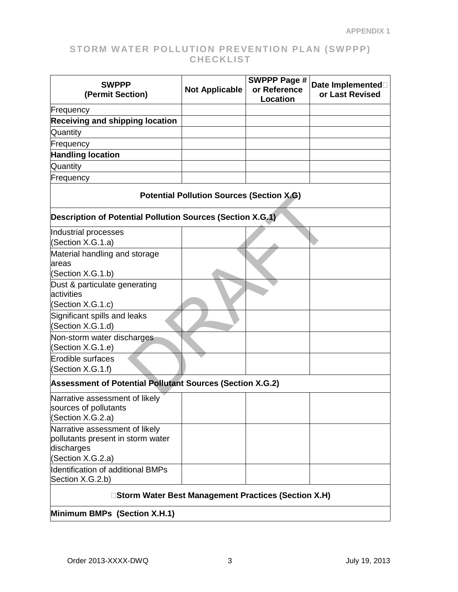| <b>SWPPP</b><br>(Permit Section)                                                                       | <b>Not Applicable</b>                                | <b>SWPPP Page #</b><br>or Reference<br>Location | Date Implemented<br>or Last Revised |  |  |  |
|--------------------------------------------------------------------------------------------------------|------------------------------------------------------|-------------------------------------------------|-------------------------------------|--|--|--|
| Frequency                                                                                              |                                                      |                                                 |                                     |  |  |  |
| <b>Receiving and shipping location</b>                                                                 |                                                      |                                                 |                                     |  |  |  |
| Quantity                                                                                               |                                                      |                                                 |                                     |  |  |  |
| Frequency                                                                                              |                                                      |                                                 |                                     |  |  |  |
| <b>Handling location</b>                                                                               |                                                      |                                                 |                                     |  |  |  |
| Quantity                                                                                               |                                                      |                                                 |                                     |  |  |  |
| Frequency                                                                                              |                                                      |                                                 |                                     |  |  |  |
|                                                                                                        | <b>Potential Pollution Sources (Section X.G)</b>     |                                                 |                                     |  |  |  |
| Description of Potential Pollution Sources (Section X.G.1)                                             |                                                      |                                                 |                                     |  |  |  |
| Industrial processes<br>(Section X.G.1.a)                                                              |                                                      |                                                 |                                     |  |  |  |
| Material handling and storage<br>areas                                                                 |                                                      |                                                 |                                     |  |  |  |
| (Section X.G.1.b)                                                                                      |                                                      |                                                 |                                     |  |  |  |
| Dust & particulate generating<br>activities<br>(Section X.G.1.c)                                       |                                                      |                                                 |                                     |  |  |  |
| Significant spills and leaks<br>(Section X.G.1.d)                                                      |                                                      |                                                 |                                     |  |  |  |
| Non-storm water discharges<br>(Section X.G.1.e)                                                        |                                                      |                                                 |                                     |  |  |  |
| Erodible surfaces<br>(Section X.G.1.f)                                                                 |                                                      |                                                 |                                     |  |  |  |
| <b>Assessment of Potential Pollutant Sources (Section X.G.2)</b>                                       |                                                      |                                                 |                                     |  |  |  |
| Narrative assessment of likely<br>sources of pollutants<br>(Section X.G.2.a)                           |                                                      |                                                 |                                     |  |  |  |
| Narrative assessment of likely<br>pollutants present in storm water<br>discharges<br>(Section X.G.2.a) |                                                      |                                                 |                                     |  |  |  |
| Identification of additional BMPs<br>Section X.G.2.b)                                                  |                                                      |                                                 |                                     |  |  |  |
|                                                                                                        | □Storm Water Best Management Practices (Section X.H) |                                                 |                                     |  |  |  |
| Minimum BMPs (Section X.H.1)                                                                           |                                                      |                                                 |                                     |  |  |  |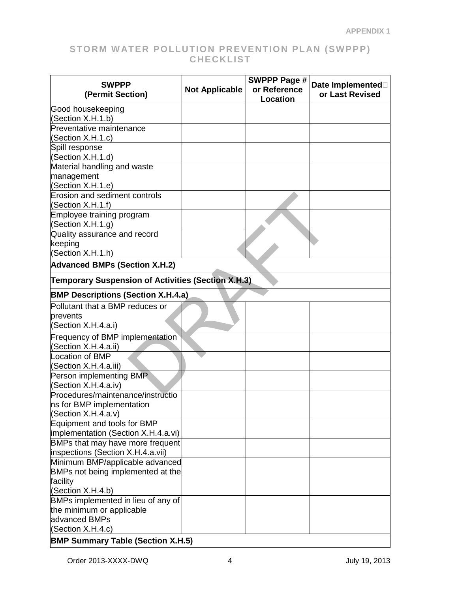| <b>SWPPP</b><br>(Permit Section)                                   | <b>Not Applicable</b>                                     | <b>SWPPP Page #</b><br>or Reference<br>Location | Date Implemented<br>or Last Revised |  |  |
|--------------------------------------------------------------------|-----------------------------------------------------------|-------------------------------------------------|-------------------------------------|--|--|
| Good housekeeping                                                  |                                                           |                                                 |                                     |  |  |
| Section X.H.1.b)<br>Preventative maintenance                       |                                                           |                                                 |                                     |  |  |
| (Section X.H.1.c)                                                  |                                                           |                                                 |                                     |  |  |
| Spill response                                                     |                                                           |                                                 |                                     |  |  |
| (Section X.H.1.d)                                                  |                                                           |                                                 |                                     |  |  |
| Material handling and waste                                        |                                                           |                                                 |                                     |  |  |
| management                                                         |                                                           |                                                 |                                     |  |  |
| (Section X.H.1.e)                                                  |                                                           |                                                 |                                     |  |  |
| <b>Erosion and sediment controls</b>                               |                                                           |                                                 |                                     |  |  |
| (Section X.H.1.f)                                                  |                                                           |                                                 |                                     |  |  |
| Employee training program                                          |                                                           |                                                 |                                     |  |  |
| (Section X.H.1.g)                                                  |                                                           |                                                 |                                     |  |  |
| Quality assurance and record                                       |                                                           |                                                 |                                     |  |  |
| keeping<br>(Section X.H.1.h)                                       |                                                           |                                                 |                                     |  |  |
| <b>Advanced BMPs (Section X.H.2)</b>                               |                                                           |                                                 |                                     |  |  |
|                                                                    | <b>Temporary Suspension of Activities (Section X.H.3)</b> |                                                 |                                     |  |  |
| <b>BMP Descriptions (Section X.H.4.a)</b>                          |                                                           |                                                 |                                     |  |  |
| Pollutant that a BMP reduces or                                    |                                                           |                                                 |                                     |  |  |
| prevents                                                           |                                                           |                                                 |                                     |  |  |
| (Section X.H.4.a.i)                                                |                                                           |                                                 |                                     |  |  |
| Frequency of BMP implementation                                    |                                                           |                                                 |                                     |  |  |
| Section X.H.4.a.ii)                                                |                                                           |                                                 |                                     |  |  |
| <b>Location of BMP</b>                                             |                                                           |                                                 |                                     |  |  |
| (Section X.H.4.a.iii)                                              |                                                           |                                                 |                                     |  |  |
| Person implementing BMR                                            |                                                           |                                                 |                                     |  |  |
| (Section X.H.4.a.iv)                                               |                                                           |                                                 |                                     |  |  |
| Procedures/maintenance/instructio                                  |                                                           |                                                 |                                     |  |  |
| ns for BMP implementation                                          |                                                           |                                                 |                                     |  |  |
| (Section X.H.4.a.v)                                                |                                                           |                                                 |                                     |  |  |
| Equipment and tools for BMP<br>implementation (Section X.H.4.a.vi) |                                                           |                                                 |                                     |  |  |
| BMPs that may have more frequent                                   |                                                           |                                                 |                                     |  |  |
| inspections (Section X.H.4.a.vii)                                  |                                                           |                                                 |                                     |  |  |
| Minimum BMP/applicable advanced                                    |                                                           |                                                 |                                     |  |  |
| BMPs not being implemented at the                                  |                                                           |                                                 |                                     |  |  |
| facility                                                           |                                                           |                                                 |                                     |  |  |
| (Section X.H.4.b)                                                  |                                                           |                                                 |                                     |  |  |
| BMPs implemented in lieu of any of                                 |                                                           |                                                 |                                     |  |  |
| the minimum or applicable                                          |                                                           |                                                 |                                     |  |  |
| advanced BMPs                                                      |                                                           |                                                 |                                     |  |  |
| (Section X.H.4.c)                                                  |                                                           |                                                 |                                     |  |  |
| <b>BMP Summary Table (Section X.H.5)</b>                           |                                                           |                                                 |                                     |  |  |